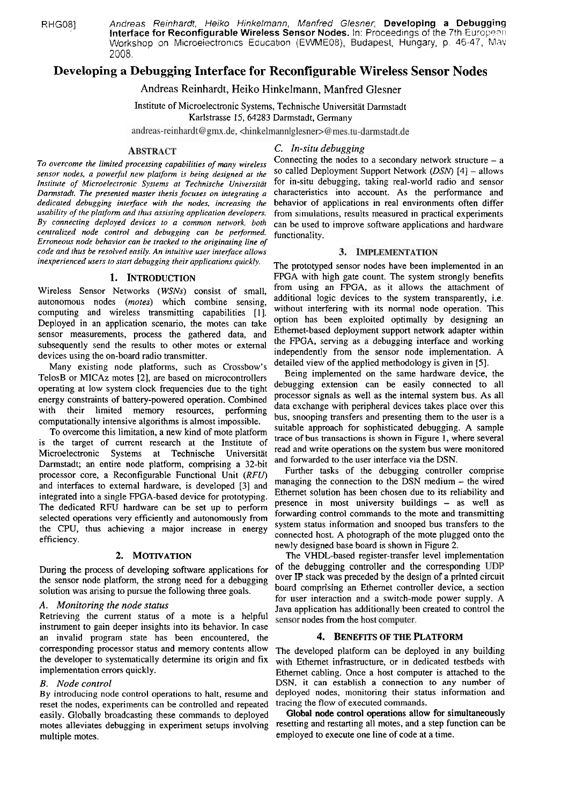RHG08] Andreas Reinhardt, Heiko Hinkelmann, Manfred Glesner; **Developing a Debugging**<br>**Interface for Reconfigurable Wireless Sensor Nodes.** In: Proceedings of the 7th European Workshop on Microeiectronics Education (EWME08), Budapest, Hungary, p. 46-47, May 2008.

# **Developing a Debugging Interface for Reconfigurable Wireless Sensor Nodes**

Andreas Reinhardt, Heiko Hinkelmann, Manfred Glesner

Institute of Microelectronic Systems, Technische Universität Darmstadt

Karlstrasse 15, 64283 Darmstadt, Germany

andreas-reinhardt@gmx.de, <hinkelmannlglesner>@mes.tu-darmstadt.de

# **ABSTRACT**

*To overcome the limited processing capabilities of many wireless*  sensor nodes, a powerful new platform is being designed at the *Institute of Microelectronic Systems at Technische Universität Darmstadt. The presented master thesis focuses on integrating a dedicated debugging interjace with the nodes, increasing the usabiliry of rhe platfonn und thus assisting application developers. By connecting deployed devices to a common network, both centralized node control und debugging can be perfonned. Erroneous node behavior can be tracked to the originating line of code md rhus be resolved easily. An intuitive user interface allows*  inexperienced users to start debugging their applications quickly.

# **1. INTRODUCTION**

Wireless Sensor Networks *(WSNs)* consist of small, autonomous nodes *(motes)* which combine sensing, computing and wireless transmitting capabilities [1]. Deployed in an application scenario, the motes can take sensor measurements, process the gathered data, and subsequently send the results to other motes or extemal devices using the on-board radio transmitter.

Many existing node platforms, such as Crossbow's TelosB or MICAz motes [2], are based on microcontrollers operating at low system clock frequencies due to the tight energy constraints of battery-powered operation. Combined with their limited memory resources, performing computationally intensive algorithms is almost impossible.

To overcome this Iimitation, a new kind of mote platform is the target of current research at the Institute of Microelectronic Systems at Technische Universität Darmstadt; an entire node platform, comprising a 32-bit processor core, a Reconfigurable Functional Unit *(RFU)*  and interfaces to extemal hardware, is developed **[3]** and integrated into a single FPGA-based device for prototyping. The dedicated RFU hardware can be set up to perform selected operations very efficiently and autonomously from the CPU, thus achieving a major increase in energy efficiency.

During the process of developing software applications for <sup>of the</sup> debugging controller and the corresponding ODP<br>the sensor node platform, the strong need for a debugging over IP stack was preceded by the design of a pri the sensor node platform, the strong need for a debugging over IP stack was preceded by the design of a printed circuit<br>solution was arising to pursue the following three goals board comprising an Ethernet controller devic

Retrieving the current status of a mote is a helpful sensor nodes from the host computer. instrument to gain deeper insights into its behavior. In case an invalid program state has been encountered, the 4. **BENEFITS OF THE PLATFORM**  corresponding processor status and memory contents allow The developed platform can be deployed in any building<br>the developer to systematically determine its origin and fix with Ethernet infrastructure or in dedicated test the developer to systematically determine its origin and fix with Ethernet infrastructure, or in dedicated testbeds with implementation errors quickly.

By introducing node control operations to halt, resume and deployed nodes, monitoring their status reset the nodes experiments can be controlled and repeated tracing the flow of executed commands. reset the nodes, experiments can be controlled and repeated tracing the flow of executed commands.<br>easily, Globally broadcasting these commands to deployed Global node control operations allow for simultaneously easily. Globally broadcasting these commands to deployed Global node control operations allow for simultaneously<br>motes alleviates debugging in experiment setups involving resetting and restarting all motes, and a step func motes alleviates debugging in experiment setups involving multiple motes.  $\frac{1}{2}$  employed to execute one line of code at a time.

# *C. In-situ debiigging*

Connecting the nodes to a secondary network structure  $-$  a so called Deployment Support Network *(DSN)* [4] - allows for in-situ debugging, taking real-world radio and sensor characteristics into account. As the performance and behavior of applications in real environments often differ from simulations, results measured in practical experiments can be used to improve software applications and hardware functionality.

# 3. IMPLEMENTATION

The prototyped sensor nodes have been implemented in an FPGA with high gate count. The system strongly benefits from using an FPGA, as it allows the attachment of additional logic devices to the system transparently, i.e. without interfering with its normal node operation. This option has been exploited optimally by designing an Ethemet-based deployment Support network adapter within the FPGA, serving as a debugging interface and working independently from the sensor node implementation. A detailed view of the applied methodology is given in **[5].** 

Being implemented on the same hardware device, the debugging extension can be easily connected to all processor signals as well as the intemal system bus. As all data exchange with peripheral devices takes place over this bus, snooping transfers and presenting them to the user is a suitable approach for sophisticated debugging. A sample trace of bus transactions is shown in Figure **1,** where several read and write operations on the system bus were monitored and forwarded to the user interface via the DSN.

Further tasks of the debugging controller comprise managing the connection to the DSN medium - the wired Ethemet solution has been chosen due to its reliability and presence in most university buildings - as well as fowarding control commands to the mote and transrnitting system status information and snooped bus transfers to the connected host. A photograph of the mote plugged onto the newly designed base board is shown in Figure 2.

**2. MOTIVATION** The VHDL-based register-transfer level implementation<br>of developing software applications for of the debugging controller and the corresponding UDP solution was arising to pursue the following three goals. board comprising an Ethernet controller device, a section<br>for user interaction and a switch-mode power supply. A for User interaction and a switch-mode power supply. A **A.** *Monitoring the node status* Java application has additionally been created to control the

Ethernet cabling. Once a host computer is attached to the *B. Node control*<br>By introducing node control operations to halt, resume and deployed nodes, monitoring their status information and<br>By introducing node control operations to halt, resume and deployed nodes, monitoring the